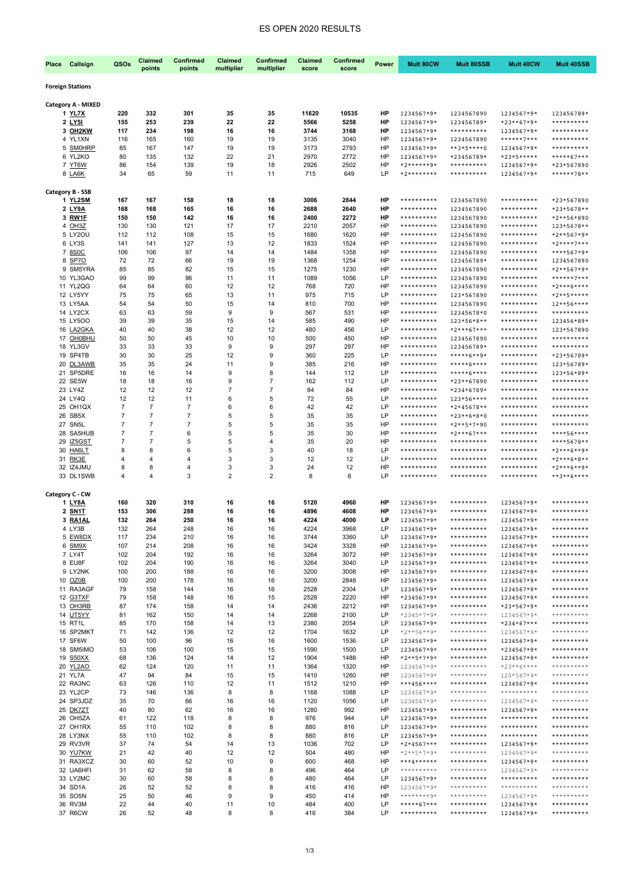# ES OPEN 2020 RESULTS

| Place | Callsign                     | QSOs                 | <b>Claimed</b>       | <b>Confirmed</b>     | Claimed        | Confirmed      | Claimed      | Confirmed    | Power    | Mult 80CW                    | <b>Mult 80SSB</b>        | Mult 40CW                | Mult 40SSB                   |
|-------|------------------------------|----------------------|----------------------|----------------------|----------------|----------------|--------------|--------------|----------|------------------------------|--------------------------|--------------------------|------------------------------|
|       |                              |                      | points               | points               | multiplier     | multiplier     | score        | score        |          |                              |                          |                          |                              |
|       | <b>Foreign Stations</b>      |                      |                      |                      |                |                |              |              |          |                              |                          |                          |                              |
|       |                              |                      |                      |                      |                |                |              |              |          |                              |                          |                          |                              |
|       | Category A - MIXED<br>1 YL7X | 220                  | 332                  | 301                  | 35             | 35             | 11620        | 10535        | HP       | 1234567*9*                   | 1234567890               | 1234567*9*               | 123456789*                   |
|       | 2 LY51                       | 155                  | 253                  | 239                  | 22             | 22             | 5566         | 5258         | HP       | 1234567*9*                   | 123456789*               | $*23**67*9*$             | **********                   |
|       | 3 OH2KW                      | 117                  | 234                  | 198                  | 16             | 16             | 3744         | 3168         | HP       | 1234567*9*                   | **********               | 1234567*9*               | **********                   |
|       | 4 YL1XN                      | 116                  | 165                  | 160                  | 19             | 19             | 3135         | 3040         | HP       | 1234567*9*                   | 1234567890               | ******7***               | **********                   |
|       | 5 SMOHRP                     | 85                   | 167                  | 147                  | 19             | 19             | 3173         | 2793         | HP       | 1234567*9*                   | **3*5****0               | 1234567*9*               | **********                   |
|       | 6 YL2KO<br>7 YT6W            | 80<br>86             | 135<br>154           | 132<br>139           | 22<br>19       | 21<br>18       | 2970<br>2926 | 2772<br>2502 | HP<br>HP | 1234567*9*<br>*2******9*     | *23456789*<br>********** | $*23*5***$<br>1234567*9* | *****67***<br>*23*567890     |
|       | 8 LA6K                       | 34                   | 65                   | 59                   | 11             | 11             | 715          | 649          | LP       | $*2*********$                | **********               | 1234567*9*               | ******78**                   |
|       |                              |                      |                      |                      |                |                |              |              |          |                              |                          |                          |                              |
|       | Category B - SSB             |                      |                      |                      |                |                |              |              |          |                              |                          |                          |                              |
|       | 1 YL2SM<br>2 LY9A            | 167<br>168           | 167<br>168           | 158<br>165           | 18<br>16       | 18<br>16       | 3006<br>2688 | 2844<br>2640 | HP<br>HP | **********<br>**********     | 1234567890<br>1234567890 | **********<br>********** | *23*567890<br>*23*5678**     |
|       | 3 RW1F                       | 150                  | 150                  | 142                  | 16             | 16             | 2400         | 2272         | HP       | **********                   | 1234567890               | **********               | *2**56*890                   |
|       | 4 OH3Z                       | 130                  | 130                  | 121                  | 17             | 17             | 2210         | 2057         | HP       | **********                   | 1234567890               | **********               | 123*5678**                   |
|       | 5 LY2OU                      | 112                  | 112                  | 108                  | 15             | 15             | 1680         | 1620         | HP       | **********                   | 1234567890               | **********               | *2**567*9*                   |
|       | 6 LY3S                       | 141                  | 141                  | 127                  | 13             | 12             | 1833         | 1524         | HP       | **********                   | 1234567890               | **********               | $*2***7***$                  |
|       | 7 8SOC<br>8 SP70             | 106<br>72            | 106<br>72            | 97<br>66             | 14<br>19       | 14<br>19       | 1484<br>1368 | 1358<br>1254 | HP<br>HP | **********<br>**********     | 1234567890<br>123456789* | **********<br>********** | ****567*9*<br>1234567890     |
|       | 9 SM5YRA                     | 85                   | 85                   | 82                   | 15             | 15             | 1275         | 1230         | HP       | **********                   | 1234567890               | **********               | $*2**567*9*$                 |
|       | 10 YL3GAO                    | 99                   | 99                   | 96                   | 11             | 11             | 1089         | 1056         | LP       | **********                   | 1234567890               | **********               | ******7***                   |
|       | <b>11 YL2QG</b>              | 64                   | 64                   | 60                   | 12             | 12             | 768          | 720          | HP       | **********                   | 1234567890               | **********               | *2***6****                   |
|       | 12 LY5YY                     | 75                   | 75                   | 65                   | 13             | 11             | 975          | 715          | LP       | **********                   | 123*567890               | **********               | $*2***5***$                  |
|       | 13 LY5AA<br>14 LY2CX         | 54<br>63             | 54<br>63             | 50<br>59             | 15<br>9        | 14<br>9        | 810<br>567   | 700<br>531   | HP<br>HP | **********<br>**********     | 1234567890<br>12345678*0 | **********<br>********** | $12***56***$<br>**********   |
|       | 15 LY500                     | 39                   | 39                   | 35                   | 15             | 14             | 585          | 490          | HP       | **********                   | 123*56*8**               | **********               | 123456*89*                   |
|       | 16 LA2GKA                    | 40                   | 40                   | 38                   | 12             | 12             | 480          | 456          | LP       | **********                   | $*2***67***$             | **********               | 123*567890                   |
|       | 17 OH0BHU                    | 50                   | 50                   | 45                   | 10             | 10             | 500          | 450          | HP       | **********                   | 1234567890               | **********               | **********                   |
|       | 18 YL3GV<br>19 SP4TB         | 33<br>30             | 33<br>30             | 33<br>25             | 9<br>12        | 9<br>9         | 297<br>360   | 297<br>225   | HP<br>LP | **********<br>**********     | 123456789*               | **********<br>********** | **********                   |
|       | 20 DL3AWB                    | 35                   | 35                   | 24                   | 11             | 9              | 385          | 216          | HP       | **********                   | *****6**9*<br>*****6**** | **********               | *23*56789*<br>123*56789*     |
|       | 21 SP5DRE                    | 16                   | 16                   | 14                   | 9              | 8              | 144          | 112          | LP       | **********                   | *****6****               | **********               | 123*56*89*                   |
|       | 22 SE5W                      | 18                   | 18                   | 16                   | 9              | $\overline{7}$ | 162          | 112          | LP       | **********                   | *23**67890               | **********               | **********                   |
|       | 23 LY4Z                      | 12                   | 12                   | 12                   | $\overline{7}$ | $\overline{7}$ | 84           | 84           | HP       | **********                   | *234*6789*               | **********               | **********                   |
|       | 24 LY4Q<br>25 OH1QX          | 12<br>$\overline{7}$ | 12<br>$\overline{7}$ | 11<br>$\overline{7}$ | 6<br>6         | 5<br>6         | 72<br>42     | 55<br>42     | LP<br>LP | **********<br>**********     | 123*56****               | **********<br>********** | **********<br>**********     |
|       | 26 SB5X                      | $\overline{7}$       | $\overline{7}$       | $\overline{7}$       | 5              | 5              | 35           | 35           | LP       | **********                   | *2*45678**<br>*23**6*8*0 | **********               | **********                   |
|       | 27 SN5L                      | $\overline{7}$       | 7                    | 7                    | 5              | 5              | 35           | 35           | HP       | **********                   | *2**5*7*90               | **********               | **********                   |
|       | 28 SA5HUB                    | $\overline{7}$       | 7                    | 6                    | 5              | 5              | 35           | 30           | HP       | **********                   | *2***67***               | **********               | ****56****                   |
| 29    | IZ5GST                       | $\overline{7}$       | 7                    | 5                    | 5              | 4              | 35           | 20           | HP       | **********                   | **********               | **********               | ****5678**                   |
|       | 30 HA6LT<br>31 RK3E          | 8<br>4               | 8<br>4               | 6<br>4               | 5<br>3         | 3<br>3         | 40<br>12     | 18<br>12     | LP<br>LP | **********<br>**********     | **********<br>********** | **********<br>********** | *2***6**9*<br>*2***6*8**     |
|       | 32 IZ4JMU                    | 8                    | 8                    | 4                    | 3              | 3              | 24           | 12           | HP       | **********                   | **********               | **********               | *2***6**9*                   |
|       | 33 DL1SWB                    | $\overline{4}$       | 4                    | 3                    | $\overline{2}$ | $\overline{2}$ | 8            | 6            | LP       | **********                   | **********               | **********               | **3**6****                   |
|       |                              |                      |                      |                      |                |                |              |              |          |                              |                          |                          |                              |
|       | Category C - CW              |                      |                      |                      |                |                |              |              |          |                              |                          |                          |                              |
|       | 1 LY8A<br>2 SN1T             | 160<br>153           | 320<br>306           | 310<br>288           | 16<br>16       | 16<br>16       | 5120<br>4896 | 4960<br>4608 | HP<br>HP | 1234567*9*<br>1234567*9*     | **********<br>********** | 1234567*9*<br>1234567*9* | **********<br>**********     |
|       | 3 RA1AL                      | 132                  | 264                  | 250                  | 16             | 16             | 4224         | 4000         | LP       | 1234567*9*                   | **********               | 1234567*9*               | **********                   |
|       | 4 LY3B                       | 132                  | 264                  | 248                  | 16             | 16             | 4224         | 3968         | LP       | 1234567*9*                   | **********               | 1234567*9*               | **********                   |
|       | 5 EW8DX                      | 117                  | 234                  | 210                  | 16             | 16             | 3744         | 3360         | LP       | 1234567*9*                   | **********               | 1234567*9*               | **********                   |
|       | 6 SM9X<br>7 LY4T             | 107<br>102           | 214<br>204           | 208<br>192           | 16<br>16       | 16<br>16       | 3424<br>3264 | 3328<br>3072 | HP<br>HP | 1234567*9*                   | **********<br>********** | 1234567*9*               | **********<br>**********     |
|       | 8 EU8F                       | 102                  | 204                  | 190                  | 16             | 16             | 3264         | 3040         | LP       | 1234567*9*<br>1234567*9*     | **********               | 1234567*9*<br>1234567*9* | **********                   |
|       | 9 LY2NK                      | 100                  | 200                  | 188                  | 16             | 16             | 3200         | 3008         | HP       | 1234567*9*                   | **********               | 1234567*9*               | **********                   |
|       | 10 OZ0B                      | 100                  | 200                  | 178                  | 16             | 16             | 3200         | 2848         | HP       | 1234567*9*                   | **********               | 1234567*9*               | **********                   |
|       | 11 RA3AGF                    | 79                   | 158                  | 144                  | 16             | 16             | 2528         | 2304         | LP       | 1234567*9*                   | **********               | 1234567*9*               | **********                   |
|       | 12 G3TXF<br>13 OH3RB         | 79<br>87             | 158<br>174           | 148<br>158           | 16<br>14       | 15<br>14       | 2528<br>2436 | 2220<br>2212 | HP<br>HP | *234567*9*<br>1234567*9*     | **********<br>********** | 1234567*9*<br>*23*567*9* | **********<br>**********     |
|       | 14 UT5YY                     | 81                   | 162                  | 150                  | 14             | 14             | 2268         | 2100         | LP       | $*2345*7*9*$                 | **********               | 1234567*9*               | **********                   |
|       | 15 RT1L                      | 85                   | 170                  | 158                  | 14             | 13             | 2380         | 2054         | LP       | 1234567*9*                   | **********               | *234*67***               | **********                   |
|       | 16 SP2MKT                    | 71                   | 142                  | 136                  | 12             | 12             | 1704         | 1632         | LP       | $*2**56**9*$                 | **********               | 1234567*9*               | **********                   |
|       | 17 SF6W                      | 50                   | 100                  | 96                   | 16             | 16             | 1600         | 1536         | LP       | 1234567*9*                   | **********               | 1234567*9*               | **********                   |
|       | 18 SM5IMO<br>19 S50XX        | 53<br>68             | 106<br>136           | 100<br>124           | 15<br>14       | 15<br>12       | 1590<br>1904 | 1500<br>1488 | LP<br>HP | 1234567*9*<br>*2**5*7*9*     | **********<br>********** | *234567*9*<br>1234567*9* | **********<br>**********     |
|       | 20 YL2AO                     | 62                   | 124                  | 120                  | 11             | 11             | 1364         | 1320         | HP       | 1234567*9*                   | **********               | $*23**6****$             | **********                   |
|       | 21 YL7A                      | 47                   | 94                   | 84                   | 15             | 15             | 1410         | 1260         | HP       | 1234567*9*                   | **********               | 123*567*9*               | **********                   |
|       | 22 RA3NC                     | 63                   | 126                  | 110                  | 12             | 11             | 1512         | 1210         | HP       | ***456****                   | **********               | 1234567*9*               | $************$               |
|       | 23 YL2CP                     | 73                   | 146                  | 136                  | 8              | 8              | 1168         | 1088         | LP       | 1234567*9*                   | **********               | **********               | **********                   |
|       | 24 SP3JDZ<br>25 DK7ZT        | 35<br>40             | 70<br>80             | 66<br>62             | 16<br>16       | 16<br>16       | 1120<br>1280 | 1056<br>992  | LP<br>HP | 1234567*9*<br>1234567*9*     | **********<br>********** | 1234567*9*<br>1234567*9* | **********<br>**********     |
|       | 26 OH5ZA                     | 61                   | 122                  | 118                  | 8              | 8              | 976          | 944          | LP       | 1234567*9*                   | **********               | **********               | **********                   |
|       | 27 OH1RX                     | 55                   | 110                  | 102                  | 8              | 8              | 880          | 816          | LP       | 1234567*9*                   | **********               | **********               | **********                   |
|       | 28 LY3NX                     | 55                   | 110                  | 102                  | 8              | 8              | 880          | 816          | LP       | 1234567*9*                   | **********               | $************$           | **********                   |
|       | 29 RV3VR                     | 37                   | 74                   | 54                   | 14             | 13             | 1036         | 702          | LP       | *2*4567***                   | **********               | 1234567*9*               | **********<br>**********     |
|       | 30 YU7KW<br>31 RA3XCZ        | 21<br>30             | 42<br>60             | 40<br>52             | 12<br>10       | 12<br>9        | 504<br>600   | 480<br>468   | HP<br>HP | $*2**5*7*9*$<br>***4******   | **********<br>********** | 1234567*9*<br>1234567*9* | **********                   |
|       | 32 UA6HFI                    | 31                   | 62                   | 58                   | 8              | 8              | 496          | 464          | LP       | **********                   | **********               | 1234567*9*               | **********                   |
|       | 33 LY2MC                     | 30                   | 60                   | 58                   | 8              | 8              | 480          | 464          | LP       | 1234567*9*                   | **********               | $*************$          | **********                   |
|       | 34 SD1A                      | 26                   | 52                   | 52                   | 8              | 8              | 416          | 416          | HP       | 1234567*9*                   | **********               | **********               | **********                   |
|       | 35 SO5N                      | 25                   | 50                   | 46                   | 9              | 9              | 450          | 414          | HP       | ********9*                   | **********               | 1234567*9*               | ***********                  |
|       | 36 RV3M<br>37 R6CW           | 22<br>26             | 44<br>52             | 40<br>48             | 11<br>8        | 10<br>8        | 484<br>416   | 400<br>384   | LP<br>LP | *****67***<br>$************$ | **********<br>********** | 1234567*9*<br>1234567*9* | **********<br>$************$ |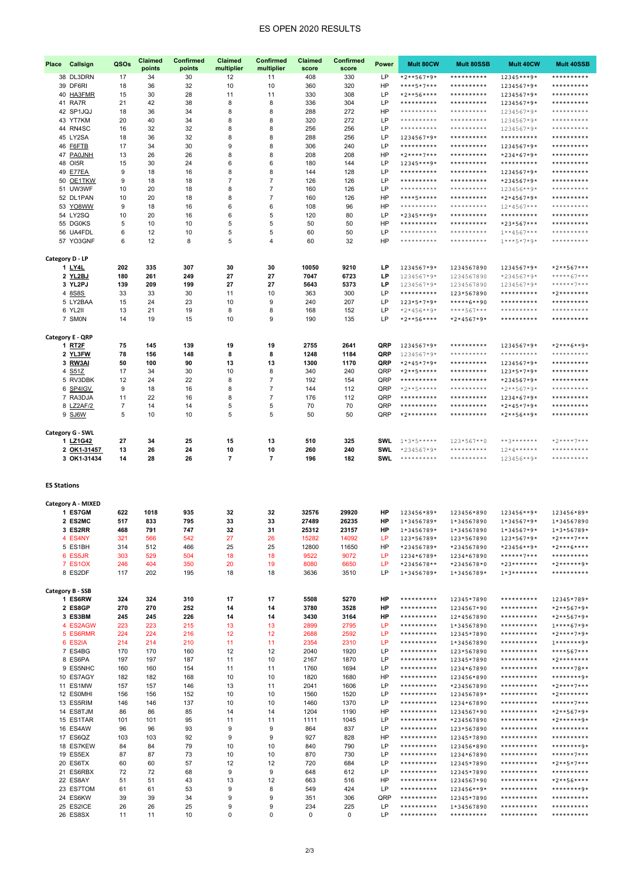# ES OPEN 2020 RESULTS

| Callsign<br>Place     | QSOs           | Claimed<br>points | Confirmed<br>points | <b>Claimed</b><br>multiplier | Confirmed<br>multiplier          | Claimed<br>score | Confirmed<br>score | Power      | Mult 80CW                    | Mult 80SSB               | Mult 40CW                          | Mult 40SSB                  |
|-----------------------|----------------|-------------------|---------------------|------------------------------|----------------------------------|------------------|--------------------|------------|------------------------------|--------------------------|------------------------------------|-----------------------------|
| 38 DL3DRN             | 17             | 34                | 30                  | 12                           | 11                               | 408              | 330                | LP         | $*2**567*9*$                 | **********               | 12345***9*                         | **********                  |
| 39 DF6RI              | 18             | 36                | 32                  | 10                           | 10                               | 360              | 320                | HP         | ****5*7***                   | **********               | 1234567*9*                         | **********                  |
| 40 HA3FMR             | 15             | 30                | 28                  | 11                           | 11                               | 330              | 308                | LP         | $*2***56***$                 | **********               | 1234567*9*                         | **********                  |
| 41 RA7R               | 21             | 42                | 38                  | 8                            | 8                                | 336              | 304                | LP         | **********                   | **********               | 1234567*9*                         | **********                  |
| 42 SP1JQJ             | 18             | 36                | 34                  | 8                            | 8                                | 288              | 272                | HP         | **********                   | **********               | 1234567*9*                         | **********                  |
| 43 YT7KM              | 20             | 40                | 34                  | 8                            | 8                                | 320              | 272                | LP         | **********                   | **********               | 1234567*9*                         | **********                  |
| 44 RN4SC              | 16             | 32                | 32                  | 8                            | 8                                | 256              | 256                | LP         | **********                   | **********               | 1234567*9*                         | **********                  |
| 45 LY2SA              | 18             | 36                | 32                  | 8                            | 8                                | 288              | 256                | LP         | 1234567*9*                   | **********               | **********                         | **********                  |
| 46<br>F6FTB           | 17             | 34                | 30                  | 9                            | 8                                | 306              | 240                | LP         | **********                   | **********               | 1234567*9*                         | **********                  |
| 47<br><b>PA0JNH</b>   | 13             | 26                | 26                  | 8                            | 8                                | 208              | 208                | HP         | $*2***7***$                  | **********               | $*234 * 67 * 9*$                   | **********                  |
| OI5R<br>48            | 15             | 30                | 24                  | 6                            | 6                                | 180              | 144                | LP         | 12345***9*                   | **********               | $*************$                    | **********                  |
| E77EA<br>49           | 9              | 18                | 16                  | 8                            | 8                                | 144              | 128                | LP         | **********                   | **********               | 1234567*9*                         | **********                  |
| OE1TKW<br>50          | 9              | 18                | 18                  | 7                            | $\overline{7}$                   | 126              | 126                | LP         | **********                   | **********               | *234567*9*                         | **********<br>**********    |
| 51 UW3WF              | 10             | 20                | 18                  | 8                            | $\overline{7}$<br>$\overline{7}$ | 160              | 126                | LP         | **********                   | **********               | 123456**9*                         |                             |
| 52 DL1PAN             | 10             | 20                | 18<br>16            | 8                            |                                  | 160              | 126                | HP         | ****5*****<br>**********     | **********<br>********** | $*2*4567*9*$                       | **********<br>***********   |
| 53 YO8WW              | 9              | 18<br>20          |                     | 6<br>6                       | 6<br>5                           | 108              | 96                 | HP<br>LP   |                              | **********               | $12*4567***$                       | **********                  |
| 54 LY2SQ<br>55 DG0KS  | 10             | 10                | 16<br>10            | 5                            | 5                                | 120              | 80<br>50           | HP         | *2345***9*<br>**********     | **********               | $*************$                    | **********                  |
| 56 UA4FDL             | 5<br>6         | 12                | 10                  | 5                            | 5                                | 50<br>60         | 50                 | LP         | **********                   | **********               | *23*567***<br>$1***4567***$        | **********                  |
| 57 YO3GNF             | 6              | 12                | 8                   | 5                            | 4                                | 60               | 32                 | HP         | **********                   | **********               | $1***5*7*9*$                       | ***********                 |
|                       |                |                   |                     |                              |                                  |                  |                    |            |                              |                          |                                    |                             |
| Category D - LP       |                |                   |                     |                              |                                  |                  |                    |            |                              |                          |                                    |                             |
| 1 LY4L                | 202            | 335               | 307                 | 30                           | 30                               | 10050            | 9210               | LP         | 1234567*9*                   | 1234567890               | 1234567*9*                         | $*2**567***$                |
| 2 YL2BJ               | 180            | 261               | 249                 | 27                           | 27                               | 7047             | 6723               | LP         | 1234567*9*                   | 1234567890               | *234567*9*                         | *****67***                  |
| 3 YL2PJ               | 139            | 209               | 199                 | 27                           | 27                               | 5643             | 5373               | LP         | 1234567*9*                   | 1234567890               | 1234567*9*                         | ******7***                  |
| 4 8S8S                | 33             | 33                | 30                  | 11                           | 10                               | 363              | 300                | LP         | $*************$              | 123*567890               | $*************$                    | $*2*********$               |
| 5 LY2BAA              | 15             | 24                | 23                  | 10                           | 9                                | 240              | 207                | LP         | $123*5*7*9*$                 | *****6**90               | $*************$                    | **********                  |
| 6 YL2II               | 13             | 21                | 19                  | 8                            | 8                                | 168              | 152                | LP         | $*2*456**9*$                 | ****567***               | **********                         | **********                  |
| 7 SMON                | 14             | 19                | 15                  | 10                           | 9                                | 190              | 135                | LP         | $*2***56***$                 | *2*4567*9*               | **********                         | **********                  |
|                       |                |                   |                     |                              |                                  |                  |                    |            |                              |                          |                                    |                             |
| Category E - QRP      |                |                   |                     |                              |                                  |                  |                    |            |                              |                          |                                    |                             |
| 1 RT2F                | 75             | 145               | 139                 | 19                           | 19                               | 2755             | 2641               | QRP        | 1234567*9*                   | **********               | 1234567*9*                         | $*2***6***9*$               |
| 2 YL3FW               | 78             | 156               | 148                 | 8                            | 8                                | 1248             | 1184               | QRP        | 1234567*9*                   | **********               | **********                         | **********                  |
| 3 RW3AI               | 50             | 100               | 90                  | 13                           | 13                               | 1300             | 1170               | QRP        | $*2*45*7*9*$                 | **********               | 1234567*9*                         | **********                  |
| 4 S51Z                | 17             | 34                | 30                  | 10                           | 8                                | 340              | 240                | QRP        | $*2***5****$                 | **********               | 123*5*7*9*                         | **********                  |
| 5 RV3DBK              | 12             | 24                | 22                  | 8                            | $\overline{7}$                   | 192              | 154                | QRP        | $*************$              | **********               | *234567*9*                         | **********                  |
| 6 SP4IGV              | 9              | 18                | 16                  | 8                            | $\overline{7}$                   | 144              | 112                | QRP        | $*2***5***$                  | **********               | $*2**567*9*$                       | **********                  |
| 7 RA3DJA              | 11             | 22                | 16                  | 8                            | $\overline{7}$                   | 176              | 112                | QRP        | **********                   | **********               | 1234*67*9*                         | **********                  |
| 8 LZ2AF/2             | $\overline{7}$ | 14                | 14                  | 5                            | 5                                | 70               | 70                 | QRP        | **********                   | **********               | $*2*45*7*9*$                       | **********                  |
| 9 SJ6W                | 5              | 10                | 10                  | 5                            | 5                                | 50               | 50                 | QRP        | *2********                   | **********               | $*2**56**9*$                       | **********                  |
|                       |                |                   |                     |                              |                                  |                  |                    |            |                              |                          |                                    |                             |
| Category G - SWL      |                |                   |                     |                              |                                  |                  |                    |            |                              |                          |                                    |                             |
| 1 LZ1G42              | 27             | 34                | 25                  | 15                           | 13                               | 510              | 325                | <b>SWL</b> | $1*3*5***$                   | 123*567**0               | **3*******                         | $*2***7***$                 |
| 2 OK1-31457           | 13             | 26                | 24                  | 10                           | 10                               | 260              | 240                | SWL        | $*234567*9*$                 | **********               | $12*4*****$                        | **********                  |
| 3 OK1-31434           | 14             | 28                | 26                  | 7                            | $\overline{7}$                   | 196              | 182                | SWL        | **********                   | **********               | 123456**9*                         | ***********                 |
|                       |                |                   |                     |                              |                                  |                  |                    |            |                              |                          |                                    |                             |
| <b>ES Stations</b>    |                |                   |                     |                              |                                  |                  |                    |            |                              |                          |                                    |                             |
|                       |                |                   |                     |                              |                                  |                  |                    |            |                              |                          |                                    |                             |
| Category A - MIXED    |                |                   |                     |                              |                                  |                  |                    |            |                              |                          |                                    |                             |
| 1 ES7GM               | 622            | 1018              | 935                 | 32                           | 32                               | 32576            | 29920              | HP         | 123456*89*                   | 123456*890               | 123456**9*                         | 123456*89*                  |
| 2 ES2MC<br>3 ES2RR    | 517            | 833               | 795                 | 33                           | 33                               | 27489            | 26235              | ΗP         | 1*3456789*                   | 1*34567890               | $1*34567*9*$                       | 1*34567890                  |
|                       | 468            | 791               | 747                 | 32                           | 31                               | 25312            | 23157              | HP         | 1*3456789*                   | 1*34567890               | $1*34567*9*$                       | $1*3*56789*$                |
| 4 ES4NY<br>5 ES1BH    | 321<br>314     | 566<br>512        | 542<br>466          | 27<br>25                     | 26<br>25                         | 15282            | 14092<br>11650     | LP<br>HP   | 123*56789*                   | 123*567890<br>*234567890 | 123*567*9*                         | $*2***7***$<br>$*2***6****$ |
| 6 ES5JR               | 303            | 529               | 504                 | 18                           | 18                               | 12800<br>9522    | 9072               | LP         | *23456789*<br>1234*6789*     | 1234*67890               | *23456**9*<br>******7***           | **********                  |
| 7 ES10X               | 246            | 404               | 350                 | 20                           | 19                               | 8080             | 6650               | LP         | *2345678**                   | *2345678*0               | $*23*******$                       | *2******9*                  |
| 8 ES2DF               | 117            | 202               | 195                 | 18                           | 18                               | 3636             | 3510               | LP         | 1*3456789*                   | 1*3456789*               | $1*3******$                        | **********                  |
|                       |                |                   |                     |                              |                                  |                  |                    |            |                              |                          |                                    |                             |
| Category B - SSB      |                |                   |                     |                              |                                  |                  |                    |            |                              |                          |                                    |                             |
| 1 ES6RW               | 324            | 324               | 310                 | 17                           | 17                               | 5508             | 5270               | <b>HP</b>  | **********                   | 12345*7890               | **********                         | 12345*789*                  |
| 2 ES8GP               | 270            | 270               | 252                 | 14                           | 14                               | 3780             | 3528               | <b>HP</b>  | $************$               | 1234567*90               | $*************$                    | $*2**567*9*$                |
| 3 ES3BM               | 245            | 245               | 226                 | 14                           | 14                               | 3430             | 3164               | HP         | $************$               | 12*4567890               | $*************$                    | $*2**567*9*$                |
| 4 ES2AGW              | 223            | 223               | 215                 | 13                           | 13                               | 2899             | 2795               | LP         | $************$               | 1*34567890               | $*************$                    | $1****67*9*$                |
| 5 ES6RMR              | 224            | 224               | 216                 | 12                           | 12                               | 2688             | 2592               | LP         | **********                   | 12345*7890               | **********                         | $*2***7*9*$                 |
| 6 ES2IA               | 214            | 214               | 210                 | 11                           | 11                               | 2354             | 2310               | LP         | $************$               | 1*34567890               | $*************$                    | $1******9*$                 |
| 7 ES4BG               | 170            | 170               | 160                 | 12                           | 12                               | 2040             | 1920               | LP         | **********                   | 123*567890               | **********                         | ****567***                  |
| 8 ES6PA               | 197            | 197               | 187                 | 11                           | 10                               | 2167             | 1870               | LP         | $************$               | 12345*7890               | $*************$                    | $*2********$                |
| 9 ES5NHC              | 160            | 160               | 154                 | 11                           | 11                               | 1760             | 1694               | LP         | **********                   | 1234*67890               | **********                         | ******78**                  |
| 10 ES7AGY             | 182            | 182               | 168                 | 10                           | 10                               | 1820             | 1680               | HP         | **********                   | 123456*890               | $*************$                    | ********9*                  |
| 11 ES1MW              | 157            | 157               | 146                 | 13                           | 11                               | 2041             | 1606               | LP         | $************$               | *234567890               | $*************$                    | $*2***7***$                 |
| 12 ES0MHI             | 156            | 156               | 152                 | 10                           | 10                               | 1560             | 1520               | LP         | $************$               | 123456789*               | $*************$                    | $*2*********$               |
| 13 ES5RIM             | 146            | 146               | 137                 | 10                           | 10                               | 1460             | 1370               | LP         | **********                   | 1234*67890               | **********                         | ******7***                  |
| 14 ES8TJM             | 86             | 86                | 85                  | 14                           | 14                               | 1204             | 1190               | HP         | $************$               | 1234567*90               | $*************$                    | $*2**567*9*$                |
| 15 ES1TAR             | 101            | 101               | 95                  | 11                           | 11                               | 1111             | 1045               | LP         | **********                   | *234567890               | $*************$                    | *2******9*                  |
| 16 ES4AW              | 96             | 96                | 93                  | 9                            | 9                                | 864              | 837                | LP         | $************$               | 123*567890               | $*************$                    | **********                  |
| 17 ES6QZ              | 103            | 103               | 92                  | 9                            | 9                                | 927              | 828                | HP         | **********                   | 12345*7890               | **********                         | **********                  |
| 18 ES7KEW             | 84             | 84                | 79                  | 10                           | 10                               | 840              | 790                | LP         | $************$               | 123456*890               | $*************$                    | ********9*                  |
| 19 ES5EX              | 87             | 87                | 73                  | 10                           | 10                               | 870              | 730                | LP         | $************$               | 1234*67890               | $*************$                    | ******7***                  |
| 20 ES6TX              | 60             | 60                | 57                  | 12                           | 12                               | 720              | 684                | LP         | $************$               | 12345*7890               | $*************$                    | $*2**5*7***$                |
| 21 ES6RBX             | 72             | 72                | 68                  | 9                            | 9                                | 648              | 612                | LP         | **********                   | 12345*7890               | **********                         | **********                  |
| 22 ES8AY              | 51             | 51                | 43                  | 13                           | 12                               | 663              | 516                | HP         | $************$<br>********** | 1234567*90               | $*************$                    | $*2***56****$<br>********9* |
| 23 ES7TOM<br>24 ES6KW | 61<br>39       | 61<br>39          | 53<br>34            | 9<br>9                       | 8<br>9                           | 549<br>351       | 424<br>306         | LP<br>QRP  | $************$               | 123456**9*               | $*************$<br>$*************$ | **********                  |
| 25 ES2ICE             | 26             | 26                | 25                  | 9                            | 9                                | 234              | 225                | LP         | **********                   | 12345*7890<br>1*34567890 | **********                         | **********                  |
| 26 ES8SX              | 11             | 11                | 10                  | 0                            | $\mathbf 0$                      | $\mathbf 0$      | $\mathbf 0$        | LP         | $************$               | **********               | $*************$                    | $************$              |